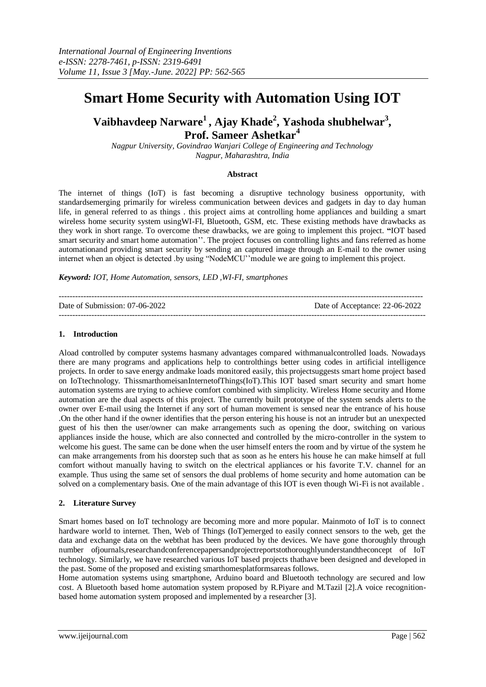# **Smart Home Security with Automation Using IOT**

# **Vaibhavdeep Narware<sup>1</sup>, Ajay Khade<sup>2</sup> , Yashoda shubhelwar<sup>3</sup> , Prof. Sameer Ashetkar<sup>4</sup>**

*Nagpur University, Govindrao Wanjari College of Engineering and Technology Nagpur, Maharashtra, India*

#### **Abstract**

The internet of things (IoT) is fast becoming a disruptive technology business opportunity, with standardsemerging primarily for wireless communication between devices and gadgets in day to day human life, in general referred to as things . this project aims at controlling home appliances and building a smart wireless home security system usingWI-FI, Bluetooth, GSM, etc. These existing methods have drawbacks as they work in short range. To overcome these drawbacks, we are going to implement this project. **"**IOT based smart security and smart home automation''. The project focuses on controlling lights and fans referred as home automationand providing smart security by sending an captured image through an E-mail to the owner using internet when an object is detected .by using "NodeMCU''module we are going to implement this project.

*Keyword: IOT, Home Automation, sensors, LED ,WI-FI, smartphones*

| Date of Submission: 07-06-2022 | Date of Acceptance: 22-06-2022 |
|--------------------------------|--------------------------------|
|                                |                                |

#### **1. Introduction**

Aload controlled by computer systems hasmany advantages compared withmanualcontrolled loads. Nowadays there are many programs and applications help to controlthings better using codes in artificial intelligence projects. In order to save energy andmake loads monitored easily, this projectsuggests smart home project based on IoTtechnology. ThissmarthomeisanInternetofThings(IoT).This IOT based smart security and smart home automation systems are trying to achieve comfort combined with simplicity. Wireless Home security and Home automation are the dual aspects of this project. The currently built prototype of the system sends alerts to the owner over E-mail using the Internet if any sort of human movement is sensed near the entrance of his house .On the other hand if the owner identifies that the person entering his house is not an intruder but an unexpected guest of his then the user/owner can make arrangements such as opening the door, switching on various appliances inside the house, which are also connected and controlled by the micro-controller in the system to welcome his guest. The same can be done when the user himself enters the room and by virtue of the system he can make arrangements from his doorstep such that as soon as he enters his house he can make himself at full comfort without manually having to switch on the electrical appliances or his favorite T.V. channel for an example. Thus using the same set of sensors the dual problems of home security and home automation can be solved on a complementary basis. One of the main advantage of this IOT is even though Wi-Fi is not available .

#### **2. Literature Survey**

Smart homes based on IoT technology are becoming more and more popular. Mainmoto of IoT is to connect hardware world to internet. Then, Web of Things (IoT)emerged to easily connect sensors to the web, get the data and exchange data on the webthat has been produced by the devices. We have gone thoroughly through number ofjournals,researchandconferencepapersandprojectreportstothoroughlyunderstandtheconcept of IoT technology. Similarly, we have researched various IoT based projects thathave been designed and developed in the past. Some of the proposed and existing smarthomesplatformsareas follows.

Home automation systems using smartphone, Arduino board and Bluetooth technology are secured and low cost. A Bluetooth based home automation system proposed by R.Piyare and M.Tazil [2].A voice recognitionbased home automation system proposed and implemented by a researcher [3].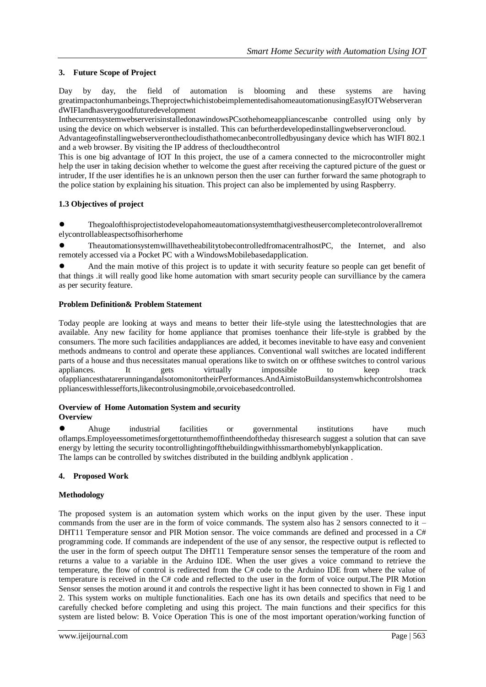# **3. Future Scope of Project**

Day by day, the field of automation is blooming and these systems are having greatimpactonhumanbeings.TheprojectwhichistobeimplementedisahomeautomationusingEasyIOTWebserveran dWIFIandhasverygoodfuturedevelopment

InthecurrentsystemwebserverisinstalledonawindowsPCsothehomeappliancescanbe controlled using only by using the device on which webserver is installed. This can befurtherdevelopedinstallingwebserveroncloud.

Advantageofinstallingwebserveronthecloudisthathomecanbecontrolledbyusingany device which has WIFI 802.1 and a web browser. By visiting the IP address of thecloudthecontrol

This is one big advantage of IOT In this project, the use of a camera connected to the microcontroller might help the user in taking decision whether to welcome the guest after receiving the captured picture of the guest or intruder, If the user identifies he is an unknown person then the user can further forward the same photograph to the police station by explaining his situation. This project can also be implemented by using Raspberry.

# **1.3 Objectives of project**

● Thegoalofthisprojectistodevelopahomeautomationsystemthatgivestheusercompletecontroloverallremot elycontrollableaspectsofhisorherhome

● TheautomationsystemwillhavetheabilitytobecontrolledfromacentralhostPC, the Internet, and also remotely accessed via a Pocket PC with a WindowsMobilebasedapplication.

And the main motive of this project is to update it with security feature so people can get benefit of that things .it will really good like home automation with smart security people can survilliance by the camera as per security feature.

# **Problem Definition& Problem Statement**

Today people are looking at ways and means to better their life-style using the latesttechnologies that are available. Any new facility for home appliance that promises toenhance their life-style is grabbed by the consumers. The more such facilities andappliances are added, it becomes inevitable to have easy and convenient methods andmeans to control and operate these appliances. Conventional wall switches are located indifferent parts of a house and thus necessitates manual operations like to switch on or offthese switches to control various appliances. It gets virtually impossible to keep track ofappliancesthatarerunningandalsotomonitortheirPerformances.AndAimistoBuildansystemwhichcontrolshomea pplianceswithlessefforts,likecontrolusingmobile,orvoicebasedcontrolled.

#### **Overview of Home Automation System and security Overview**

● Ahuge industrial facilities or governmental institutions have much oflamps.Employeessometimesforgettoturnthemoffintheendoftheday thisresearch suggest a solution that can save energy by letting the security tocontrollightingoffthebuildingwithhissmarthomebyblynkapplication. The lamps can be controlled by switches distributed in the building andblynk application .

# **4. Proposed Work**

# **Methodology**

The proposed system is an automation system which works on the input given by the user. These input commands from the user are in the form of voice commands. The system also has 2 sensors connected to it – DHT11 Temperature sensor and PIR Motion sensor. The voice commands are defined and processed in a C# programming code. If commands are independent of the use of any sensor, the respective output is reflected to the user in the form of speech output The DHT11 Temperature sensor senses the temperature of the room and returns a value to a variable in the Arduino IDE. When the user gives a voice command to retrieve the temperature, the flow of control is redirected from the C# code to the Arduino IDE from where the value of temperature is received in the C# code and reflected to the user in the form of voice output.The PIR Motion Sensor senses the motion around it and controls the respective light it has been connected to shown in Fig 1 and 2. This system works on multiple functionalities. Each one has its own details and specifics that need to be carefully checked before completing and using this project. The main functions and their specifics for this system are listed below: B. Voice Operation This is one of the most important operation/working function of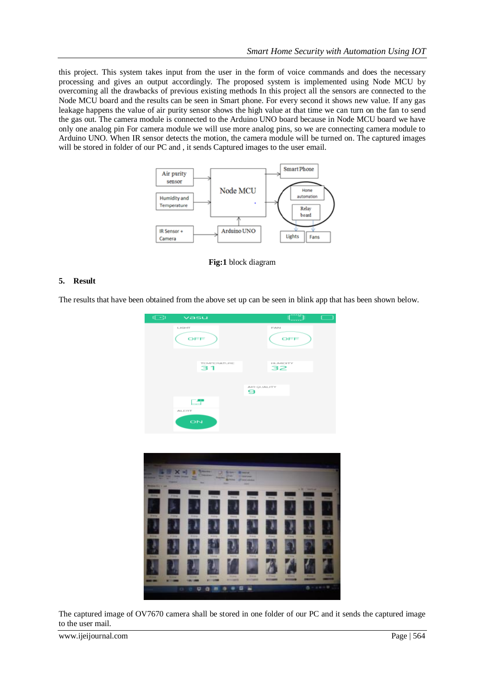this project. This system takes input from the user in the form of voice commands and does the necessary processing and gives an output accordingly. The proposed system is implemented using Node MCU by overcoming all the drawbacks of previous existing methods In this project all the sensors are connected to the Node MCU board and the results can be seen in Smart phone. For every second it shows new value. If any gas leakage happens the value of air purity sensor shows the high value at that time we can turn on the fan to send the gas out. The camera module is connected to the Arduino UNO board because in Node MCU board we have only one analog pin For camera module we will use more analog pins, so we are connecting camera module to Arduino UNO. When IR sensor detects the motion, the camera module will be turned on. The captured images will be stored in folder of our PC and , it sends Captured images to the user email.



**Fig:1** block diagram

#### **5. Result**

The results that have been obtained from the above set up can be seen in blink app that has been shown below.





The captured image of OV7670 camera shall be stored in one folder of our PC and it sends the captured image to the user mail.